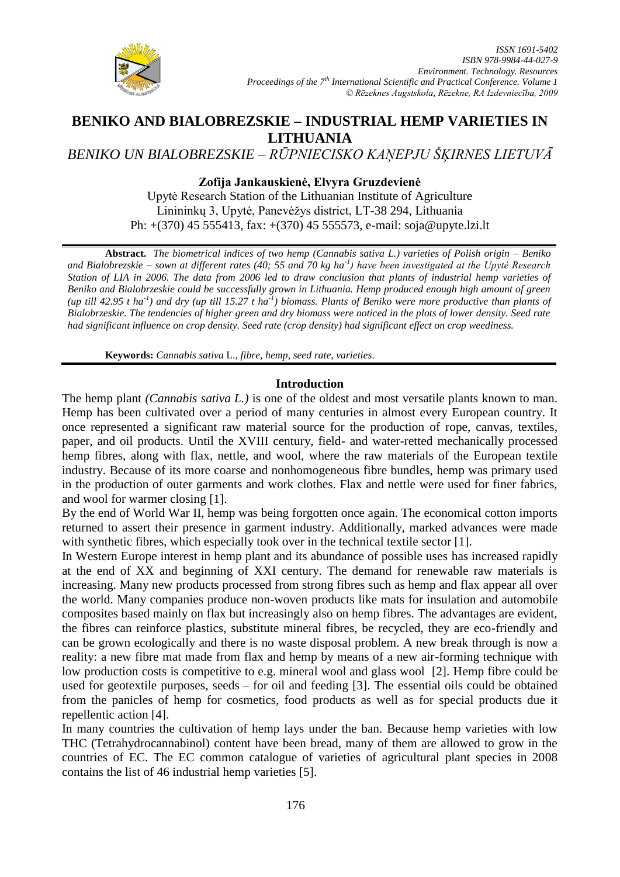

# **BENIKO AND BIALOBREZSKIE – INDUSTRIAL HEMP VARIETIES IN LITHUANIA**

*BENIKO UN BIALOBREZSKIE – RŪPNIECISKO KAŅEPJU ŠĶIRNES LIETUVĀ* 

# **Zofija Jankauskienė, Elvyra Gruzdevienė**

Upytė Research Station of the Lithuanian Institute of Agriculture Linininkų 3, Upytė, Panevėžys district, LT-38 294, Lithuania Ph: +(370) 45 555413, fax: +(370) 45 555573, e-mail: [soja@upyte.lzi.lt](mailto:soja@upyte.lzi.lt)

**Abstract.** *The biometrical indices of two hemp (Cannabis sativa L.) varieties of Polish origin – Beniko and Bialobrezskie – sown at different rates (40; 55 and 70 kg ha-1 ) have been investigated at the Upytė Research Station of LIA in 2006. The data from 2006 led to draw conclusion that plants of industrial hemp varieties of Beniko and Bialobrzeskie could be successfully grown in Lithuania. Hemp produced enough high amount of green*  (up till 42.95 t ha<sup>-1</sup>) and dry (up till 15.27 t ha<sup>-1</sup>) biomass. Plants of Beniko were more productive than plants of *Bialobrzeskie. The tendencies of higher green and dry biomass were noticed in the plots of lower density. Seed rate had significant influence on crop density. Seed rate (crop density) had significant effect on crop weediness.*

**Keywords:** *Cannabis sativa* L., *fibre, hemp, seed rate, varieties*.

## **Introduction**

The hemp plant *(Cannabis sativa L.)* is one of the oldest and most versatile plants known to man. Hemp has been cultivated over a period of many centuries in almost every European country. It once represented a significant raw material source for the production of rope, canvas, textiles, paper, and oil products. Until the XVIII century, field- and water-retted mechanically processed hemp fibres, along with flax, nettle, and wool, where the raw materials of the European textile industry. Because of its more coarse and nonhomogeneous fibre bundles, hemp was primary used in the production of outer garments and work clothes. Flax and nettle were used for finer fabrics, and wool for warmer closing [1].

By the end of World War II, hemp was being forgotten once again. The economical cotton imports returned to assert their presence in garment industry. Additionally, marked advances were made with synthetic fibres, which especially took over in the technical textile sector [1].

In Western Europe interest in hemp plant and its abundance of possible uses has increased rapidly at the end of XX and beginning of XXI century. The demand for renewable raw materials is increasing. Many new products processed from strong fibres such as hemp and flax appear all over the world. Many companies produce non-woven products like mats for insulation and automobile composites based mainly on flax but increasingly also on hemp fibres. The advantages are evident, the fibres can reinforce plastics, substitute mineral fibres, be recycled, they are eco-friendly and can be grown ecologically and there is no waste disposal problem. A new break through is now a reality: a new fibre mat made from flax and hemp by means of a new air-forming technique with low production costs is competitive to e.g. mineral wool and glass wool [2]. Hemp fibre could be used for geotextile purposes, seeds – for oil and feeding [3]. The essential oils could be obtained from the panicles of hemp for cosmetics, food products as well as for special products due it repellentic action [4].

In many countries the cultivation of hemp lays under the ban. Because hemp varieties with low THC (Tetrahydrocannabinol) content have been bread, many of them are allowed to grow in the countries of EC. The EC common catalogue of varieties of agricultural plant species in 2008 contains the list of 46 industrial hemp varieties [5].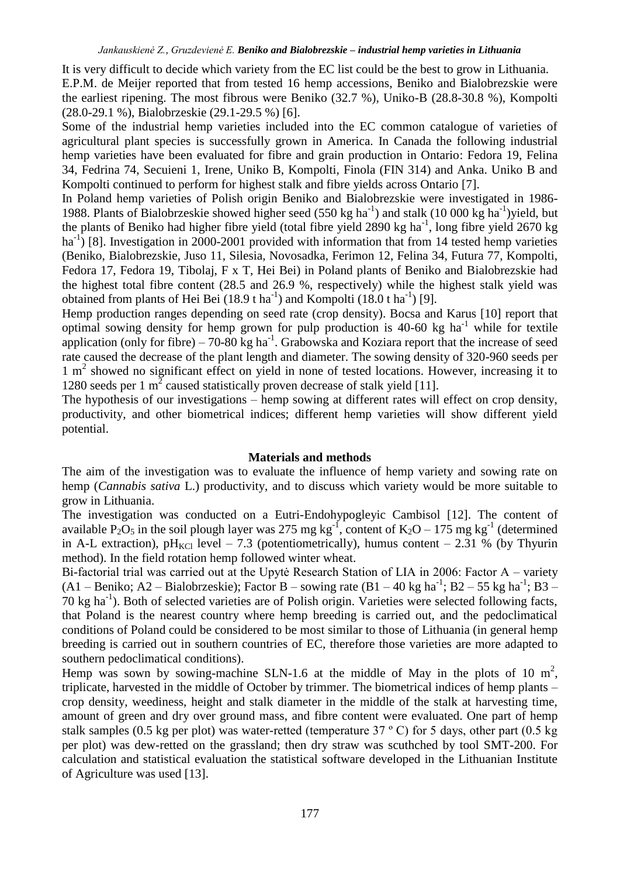It is very difficult to decide which variety from the EC list could be the best to grow in Lithuania. E.P.M. de Meijer reported that from tested 16 hemp accessions, Beniko and Bialobrezskie were the earliest ripening. The most fibrous were Beniko (32.7 %), Uniko-B (28.8-30.8 %), Kompolti (28.0-29.1 %), Bialobrzeskie (29.1-29.5 %) [6].

Some of the industrial hemp varieties included into the EC common catalogue of varieties of agricultural plant species is successfully grown in America. In Canada the following industrial hemp varieties have been evaluated for fibre and grain production in Ontario: Fedora 19, Felina 34, Fedrina 74, Secuieni 1, Irene, Uniko B, Kompolti, Finola (FIN 314) and Anka. Uniko B and Kompolti continued to perform for highest stalk and fibre yields across Ontario [7].

In Poland hemp varieties of Polish origin Beniko and Bialobrezskie were investigated in 1986- 1988. Plants of Bialobrzeskie showed higher seed (550 kg ha<sup>-1</sup>) and stalk (10 000 kg ha<sup>-1</sup>)yield, but the plants of Beniko had higher fibre yield (total fibre yield 2890 kg ha<sup>-1</sup>, long fibre yield 2670 kg ha<sup>-1</sup>) [8]. Investigation in 2000-2001 provided with information that from 14 tested hemp varieties (Beniko, Bialobrezskie, Juso 11, Silesia, Novosadka, Ferimon 12, Felina 34, Futura 77, Kompolti, Fedora 17, Fedora 19, Tibolaj, F x T, Hei Bei) in Poland plants of Beniko and Bialobrezskie had the highest total fibre content (28.5 and 26.9 %, respectively) while the highest stalk yield was obtained from plants of Hei Bei  $(18.9 \text{ tha}^{-1})$  and Kompolti  $(18.0 \text{ tha}^{-1})$  [9].

Hemp production ranges depending on seed rate (crop density). Bocsa and Karus [10] report that optimal sowing density for hemp grown for pulp production is  $40-60$  kg ha<sup>-1</sup> while for textile application (only for fibre) – 70-80 kg ha<sup>-1</sup>. Grabowska and Koziara report that the increase of seed rate caused the decrease of the plant length and diameter. The sowing density of 320-960 seeds per 1 m<sup>2</sup> showed no significant effect on yield in none of tested locations. However, increasing it to 1280 seeds per 1  $m^2$  caused statistically proven decrease of stalk yield [11].

The hypothesis of our investigations – hemp sowing at different rates will effect on crop density, productivity, and other biometrical indices; different hemp varieties will show different yield potential.

### **Materials and methods**

The aim of the investigation was to evaluate the influence of hemp variety and sowing rate on hemp (*Cannabis sativa* L.) productivity, and to discuss which variety would be more suitable to grow in Lithuania.

The investigation was conducted on a Eutri-Endohypogleyic Cambisol [12]. The content of available P<sub>2</sub>O<sub>5</sub> in the soil plough layer was 275 mg kg<sup>-1</sup>, content of K<sub>2</sub>O – 175 mg kg<sup>-1</sup> (determined in A-L extraction), pH<sub>KCl</sub> level – 7.3 (potentiometrically), humus content – 2.31 % (by Thyurin method). In the field rotation hemp followed winter wheat.

Bi-factorial trial was carried out at the Upytė Research Station of LIA in 2006: Factor A – variety  $(A1 - Beniko; A2 - Bialobrzeskie);$  Factor B – sowing rate  $(B1 - 40 \text{ kg ha}^{-1}; B2 - 55 \text{ kg ha}^{-1}; B3 -$ 70 kg ha-1 ). Both of selected varieties are of Polish origin. Varieties were selected following facts, that Poland is the nearest country where hemp breeding is carried out, and the pedoclimatical conditions of Poland could be considered to be most similar to those of Lithuania (in general hemp breeding is carried out in southern countries of EC, therefore those varieties are more adapted to southern pedoclimatical conditions).

Hemp was sown by sowing-machine SLN-1.6 at the middle of May in the plots of 10  $m^2$ , triplicate, harvested in the middle of October by trimmer. The biometrical indices of hemp plants – crop density, weediness, height and stalk diameter in the middle of the stalk at harvesting time, amount of green and dry over ground mass, and fibre content were evaluated. One part of hemp stalk samples (0.5 kg per plot) was water-retted (temperature 37 º С) for 5 days, other part (0.5 kg per plot) was dew-retted on the grassland; then dry straw was scuthched by tool SMT-200. For calculation and statistical evaluation the statistical software developed in the Lithuanian Institute of Agriculture was used [13].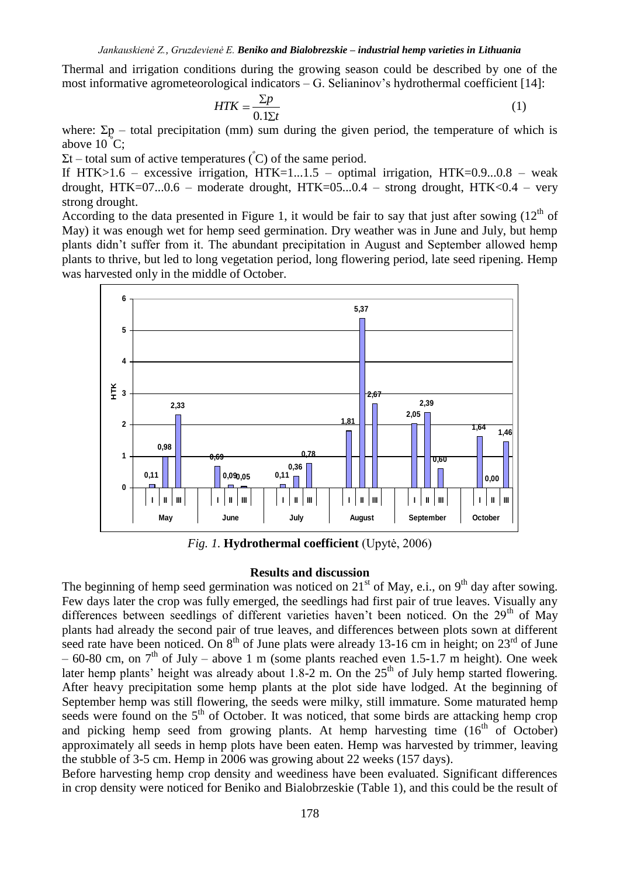Thermal and irrigation conditions during the growing season could be described by one of the most informative agrometeorological indicators – G. Selianinov's hydrothermal coefficient [14]:

$$
HTK = \frac{\Sigma p}{0.1\Sigma t} \tag{1}
$$

where:  $\Sigma p$  – total precipitation (mm) sum during the given period, the temperature of which is above  $10^{\circ}$ C;

 $\Sigma t$  – total sum of active temperatures ( $\rm^{\circ}$ C) of the same period.

If HTK $>1.6$  – excessive irrigation, HTK $=1...1.5$  – optimal irrigation, HTK $=0.9...0.8$  – weak drought,  $HTK=07...0.6$  – moderate drought,  $HTK=05...0.4$  – strong drought,  $HTK<0.4$  – very strong drought.

According to the data presented in Figure 1, it would be fair to say that just after sowing  $(12<sup>th</sup>$  of May) it was enough wet for hemp seed germination. Dry weather was in June and July, but hemp plants didn't suffer from it. The abundant precipitation in August and September allowed hemp plants to thrive, but led to long vegetation period, long flowering period, late seed ripening. Hemp was harvested only in the middle of October.



*Fig. 1.* **Hydrothermal coefficient** (Upytė, 2006)

#### **Results and discussion**

The beginning of hemp seed germination was noticed on  $21<sup>st</sup>$  of May, e.i., on  $9<sup>th</sup>$  day after sowing. Few days later the crop was fully emerged, the seedlings had first pair of true leaves. Visually any differences between seedlings of different varieties haven't been noticed. On the 29<sup>th</sup> of May plants had already the second pair of true leaves, and differences between plots sown at different seed rate have been noticed. On  $8<sup>th</sup>$  of June plats were already 13-16 cm in height; on  $23<sup>rd</sup>$  of June – 60-80 cm, on  $7<sup>th</sup>$  of July – above 1 m (some plants reached even 1.5-1.7 m height). One week later hemp plants' height was already about 1.8-2 m. On the  $25<sup>th</sup>$  of July hemp started flowering. After heavy precipitation some hemp plants at the plot side have lodged. At the beginning of September hemp was still flowering, the seeds were milky, still immature. Some maturated hemp seeds were found on the  $5<sup>th</sup>$  of October. It was noticed, that some birds are attacking hemp crop and picking hemp seed from growing plants. At hemp harvesting time  $(16^{th} \text{ of October})$ approximately all seeds in hemp plots have been eaten. Hemp was harvested by trimmer, leaving the stubble of 3-5 cm. Hemp in 2006 was growing about 22 weeks (157 days).

Before harvesting hemp crop density and weediness have been evaluated. Significant differences in crop density were noticed for Beniko and Bialobrzeskie (Table 1), and this could be the result of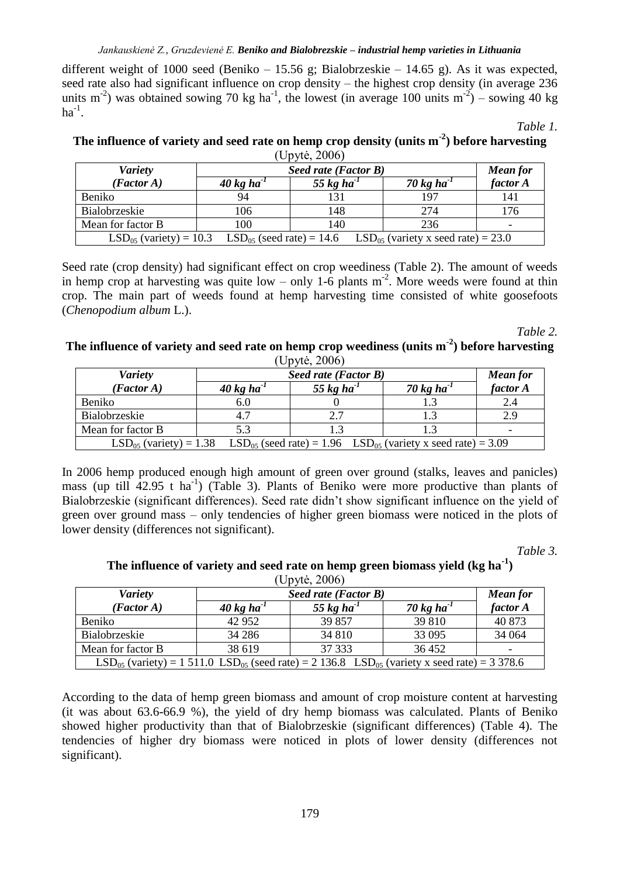### *Jankauskienė Z., Gruzdevienė E. Beniko and Bialobrezskie – industrial hemp varieties in Lithuania*

different weight of 1000 seed (Beniko – 15.56 g; Bialobrzeskie – 14.65 g). As it was expected, seed rate also had significant influence on crop density – the highest crop density (in average 236 units m<sup>-2</sup>) was obtained sowing 70 kg ha<sup>-1</sup>, the lowest (in average 100 units m<sup>-2</sup>) – sowing 40 kg  $ha^{-1}$ .

*Table 1.*

## **The influence of variety and seed rate on hemp crop density (units m-2 ) before harvesting** (Upytė, 2006)

| <b>Variety</b>                                                                                       | Seed rate (Factor B)             |                  |                  | <b>Mean for</b>          |
|------------------------------------------------------------------------------------------------------|----------------------------------|------------------|------------------|--------------------------|
| (Factor A)                                                                                           | $40 \text{ kg}$ ha <sup>-1</sup> | 55 kg ha $^{-1}$ | 70 kg ha $^{-1}$ | factor A                 |
| Beniko                                                                                               | 94                               |                  | 197              | 141                      |
| Bialobrzeskie                                                                                        | 106                              | 148              | 274              | 176                      |
| Mean for factor B                                                                                    | 100                              | 140              | 236              | $\overline{\phantom{0}}$ |
| $LSD_{05}$ (variety) = 10.3 $LSD_{05}$ (seed rate) = 14.6<br>$LSD_{05}$ (variety x seed rate) = 23.0 |                                  |                  |                  |                          |

Seed rate (crop density) had significant effect on crop weediness (Table 2). The amount of weeds in hemp crop at harvesting was quite low – only 1-6 plants  $m<sup>-2</sup>$ . More weeds were found at thin crop. The main part of weeds found at hemp harvesting time consisted of white goosefoots (*Chenopodium album* L.).

*Table 2.*

### **The influence of variety and seed rate on hemp crop weediness (units m-2 ) before harvesting**  $(IInvte<sup>-2006</sup>)$

| <b>Variety</b>                                                                                           | $\sim$ $\mu$ , $\sim$ $\sim$ $\sim$ $\sim$ $\mu$<br>Seed rate (Factor B) | <b>Mean for</b>  |                  |                          |
|----------------------------------------------------------------------------------------------------------|--------------------------------------------------------------------------|------------------|------------------|--------------------------|
| (Factor A)                                                                                               | $40 \text{ kg}$ ha <sup>-1</sup>                                         | 55 kg ha $^{-1}$ | 70 kg ha $^{-1}$ | factor A                 |
| Beniko                                                                                                   | 6.0                                                                      |                  |                  | 2.4                      |
| Bialobrzeskie                                                                                            | 4.7                                                                      |                  |                  | 2.9                      |
| Mean for factor B                                                                                        | 5.3                                                                      |                  |                  | $\overline{\phantom{0}}$ |
| $LSD05$ (variety) = 1.38<br>$LSD_{05}$ (seed rate) = 1.96 LSD <sub>05</sub> (variety x seed rate) = 3.09 |                                                                          |                  |                  |                          |

In 2006 hemp produced enough high amount of green over ground (stalks, leaves and panicles) mass (up till 42.95 t ha<sup>-1</sup>) (Table 3). Plants of Beniko were more productive than plants of Bialobrzeskie (significant differences). Seed rate didn't show significant influence on the yield of green over ground mass – only tendencies of higher green biomass were noticed in the plots of lower density (differences not significant).

*Table 3.*

## **The influence of variety and seed rate on hemp green biomass yield (kg ha-1 )**   $(1)$ nytė, 2006)

| <b>Variety</b>                                                                                                           | $U$ $V$ $V$ $V$ $V$ $V$ $V$<br>Seed rate (Factor B) |                  |                  | <b>Mean for</b>          |
|--------------------------------------------------------------------------------------------------------------------------|-----------------------------------------------------|------------------|------------------|--------------------------|
| (Factor A)                                                                                                               | $40 \text{ kg}$ ha <sup>-1</sup>                    | 55 kg ha $^{-1}$ | 70 kg ha $^{-1}$ | factor A                 |
| Beniko                                                                                                                   | 42 952                                              | 39 857           | 39 810           | 40 873                   |
| Bialobrzeskie                                                                                                            | 34 28 6                                             | 34 810           | 33 0 95          | 34 064                   |
| Mean for factor B                                                                                                        | 38 619                                              | 37 333           | 36452            | $\overline{\phantom{0}}$ |
| $LSD_{05}$ (variety) = 1 511.0 LSD <sub>05</sub> (seed rate) = 2 136.8 LSD <sub>05</sub> (variety x seed rate) = 3 378.6 |                                                     |                  |                  |                          |

According to the data of hemp green biomass and amount of crop moisture content at harvesting (it was about 63.6-66.9 %), the yield of dry hemp biomass was calculated. Plants of Beniko showed higher productivity than that of Bialobrzeskie (significant differences) (Table 4). The tendencies of higher dry biomass were noticed in plots of lower density (differences not significant).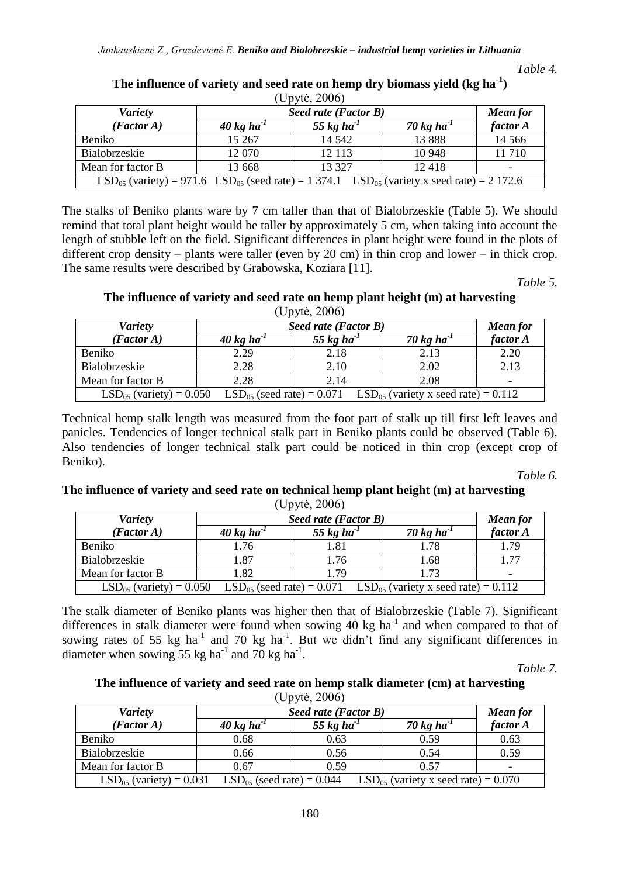| (Uv VU, ZUU)                                                                                             |                                  |                  |                  |                          |  |
|----------------------------------------------------------------------------------------------------------|----------------------------------|------------------|------------------|--------------------------|--|
| <b>Variety</b>                                                                                           | Seed rate (Factor B)             |                  |                  | <b>Mean for</b>          |  |
| (Factor A)                                                                                               | $40 \text{ kg}$ ha <sup>-1</sup> | 55 kg ha $^{-1}$ | 70 kg ha $^{-1}$ | factor A                 |  |
| Beniko                                                                                                   | 15 267                           | 14 5 42          | 13888            | 14 5 6 6                 |  |
| Bialobrzeskie                                                                                            | 12 070                           | 12 113           | 10 948           | 11710                    |  |
| Mean for factor B                                                                                        | 13 668                           | 13 3 27          | 12418            | $\overline{\phantom{a}}$ |  |
| $LSD_{05}$ (variety) = 971.6 $LSD_{05}$ (seed rate) = 1 374.1 $LSD_{05}$ (variety x seed rate) = 2 172.6 |                                  |                  |                  |                          |  |

**The influence of variety and seed rate on hemp dry biomass yield (kg ha-1 )**  $(1)$ nytė, 2006)

The stalks of Beniko plants ware by 7 cm taller than that of Bialobrzeskie (Table 5). We should remind that total plant height would be taller by approximately 5 cm, when taking into account the length of stubble left on the field. Significant differences in plant height were found in the plots of different crop density – plants were taller (even by 20 cm) in thin crop and lower – in thick crop. The same results were described by Grabowska, Koziara [11].

*Table 5.*

*Table 4.*

#### **The influence of variety and seed rate on hemp plant height (m) at harvesting**  $(1)$ nytė, 2006)

| $(QD)$ vic, $ZUUU$                                                                                          |                                  |                        |               |                 |  |
|-------------------------------------------------------------------------------------------------------------|----------------------------------|------------------------|---------------|-----------------|--|
| <b>Variety</b>                                                                                              | Seed rate (Factor B)             |                        |               | <b>Mean for</b> |  |
| (Factor A)                                                                                                  | $40 \text{ kg}$ ha <sup>-1</sup> | 55 kg ha <sup>-1</sup> | 70 kg ha $^1$ | factor A        |  |
| Beniko                                                                                                      | 2.29                             | 2.18                   | 2.13          | 2.20            |  |
| Bialobrzeskie                                                                                               | 2.28                             | 2.10                   | 2.02          | 2.13            |  |
| Mean for factor B                                                                                           | 2.28                             | 2.14                   | 2.08          | -               |  |
| $LSD05$ (variety) = 0.050<br>$LSD_{05}$ (seed rate) = 0.071 LSD <sub>05</sub> (variety x seed rate) = 0.112 |                                  |                        |               |                 |  |

Technical hemp stalk length was measured from the foot part of stalk up till first left leaves and panicles. Tendencies of longer technical stalk part in Beniko plants could be observed (Table 6). Also tendencies of longer technical stalk part could be noticed in thin crop (except crop of Beniko).

*Table 6.*

## **The influence of variety and seed rate on technical hemp plant height (m) at harvesting** (Upytė, 2006)

| <b>Variety</b>                                                                                          | Seed rate (Factor B)             |                  |                  | <b>Mean for</b>          |
|---------------------------------------------------------------------------------------------------------|----------------------------------|------------------|------------------|--------------------------|
| (Factor A)                                                                                              | $40 \text{ kg}$ ha <sup>-1</sup> | 55 kg ha $^{-1}$ | 70 kg ha $^{-1}$ | factor A                 |
| Beniko                                                                                                  | 1.76                             | 1.81             | 1.78             | 1.79                     |
| Bialobrzeskie                                                                                           | 1.87                             | 1.76             | 1.68             | 1.77                     |
| Mean for factor B                                                                                       | 1.82                             | . 79             | 1.73             | $\overline{\phantom{a}}$ |
| $LSD_{05}$ (seed rate) = 0.071 $LSD_{05}$ (variety x seed rate) = 0.112<br>$LSD_{05}$ (variety) = 0.050 |                                  |                  |                  |                          |

The stalk diameter of Beniko plants was higher then that of Bialobrzeskie (Table 7). Significant differences in stalk diameter were found when sowing 40 kg ha<sup>-1</sup> and when compared to that of sowing rates of 55 kg ha<sup>-1</sup> and 70 kg ha<sup>-1</sup>. But we didn't find any significant differences in diameter when sowing 55 kg ha<sup>-1</sup> and 70 kg ha<sup>-1</sup>.

*Table 7.*

#### **The influence of variety and seed rate on hemp stalk diameter (cm) at harvesting** (Upytė, 2006)

| $\sqrt{v}$                                                                                                 |                                  |                  |                  |                          |  |
|------------------------------------------------------------------------------------------------------------|----------------------------------|------------------|------------------|--------------------------|--|
| <b>Variety</b>                                                                                             | Seed rate (Factor B)             |                  |                  | <b>Mean for</b>          |  |
| (Factor A)                                                                                                 | $40 \text{ kg}$ ha <sup>-1</sup> | 55 kg ha $^{-1}$ | 70 kg ha $^{-1}$ | factor A                 |  |
| Beniko                                                                                                     | 0.68                             | 0.63             | 0.59             | 0.63                     |  |
| Bialobrzeskie                                                                                              | 0.66                             | 0.56             | 0.54             | 0.59                     |  |
| Mean for factor B                                                                                          | 0.67                             | 0.59             | 0.57             | $\overline{\phantom{a}}$ |  |
| $LSD_{05}$ (variety) = 0.031<br>$LSD_{05}$ (seed rate) = 0.044<br>$LSD_{05}$ (variety x seed rate) = 0.070 |                                  |                  |                  |                          |  |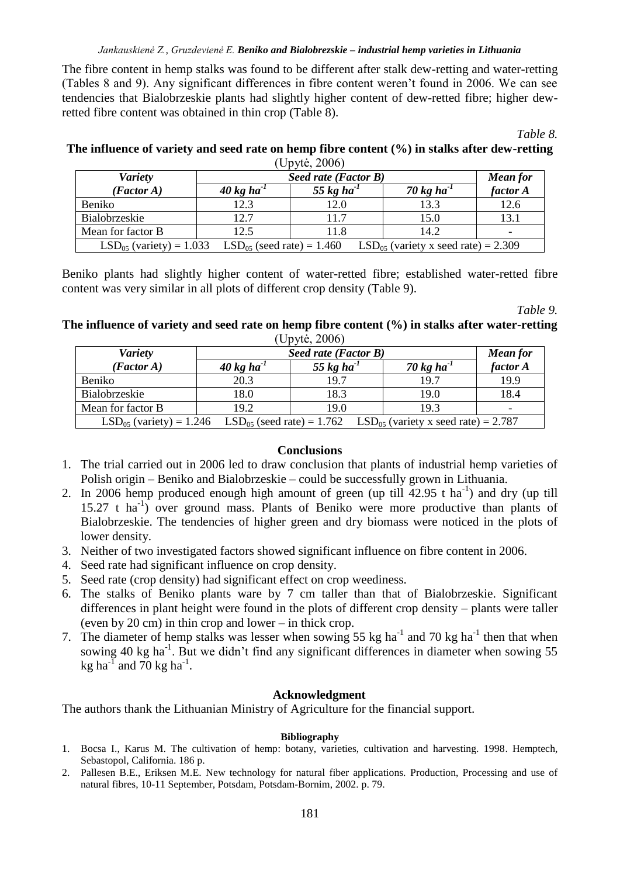### *Jankauskienė Z., Gruzdevienė E. Beniko and Bialobrezskie – industrial hemp varieties in Lithuania*

The fibre content in hemp stalks was found to be different after stalk dew-retting and water-retting (Tables 8 and 9). Any significant differences in fibre content weren't found in 2006. We can see tendencies that Bialobrzeskie plants had slightly higher content of dew-retted fibre; higher dewretted fibre content was obtained in thin crop (Table 8).

*Table 8.*

## **The influence of variety and seed rate on hemp fibre content (%) in stalks after dew-retting**  $(IInvte^2 2006)$

| <b>Variety</b>                                                                                          | Seed rate (Factor B)             |                        |                  | <b>Mean for</b> |
|---------------------------------------------------------------------------------------------------------|----------------------------------|------------------------|------------------|-----------------|
| (Factor A)                                                                                              | $40 \text{ kg}$ ha <sup>-1</sup> | 55 kg ha <sup>-1</sup> | 70 kg ha $^{-1}$ | factor A        |
| Beniko                                                                                                  | 12.3                             | 12.0                   | 13.3             | 12.6            |
| Bialobrzeskie                                                                                           | 12.7                             | 117                    | 15.0             | 13.1            |
| Mean for factor B                                                                                       | 12.5                             | 11.8                   | 14.2             |                 |
| $LSD_{05}$ (variety) = 1.033 $LSD_{05}$ (seed rate) = 1.460<br>$LSD_{05}$ (variety x seed rate) = 2.309 |                                  |                        |                  |                 |

Beniko plants had slightly higher content of water-retted fibre; established water-retted fibre content was very similar in all plots of different crop density (Table 9).

*Table 9.*

## **The influence of variety and seed rate on hemp fibre content (%) in stalks after water-retting**  (Upytė, 2006)

| <b>Variety</b>                                                                                                        | Seed rate (Factor B)             |                        |                  | <b>Mean</b> for          |  |
|-----------------------------------------------------------------------------------------------------------------------|----------------------------------|------------------------|------------------|--------------------------|--|
| (Factor A)                                                                                                            | $40 \text{ kg}$ ha <sup>-1</sup> | 55 kg ha <sup>-1</sup> | 70 kg ha $^{-1}$ | factor A                 |  |
| Beniko                                                                                                                | 20.3                             | 19.7                   | 19.7             | 19.9                     |  |
| Bialobrzeskie                                                                                                         | 18.0                             | 18.3                   | 19.0             | 18.4                     |  |
| Mean for factor B                                                                                                     | 19.2                             | 19.0                   | 19.3             | $\overline{\phantom{0}}$ |  |
| $LSD_{05}$ (variety) = 1.246<br>$\text{LSD}_{05}$ (seed rate) = 1.762 LSD <sub>05</sub> (variety x seed rate) = 2.787 |                                  |                        |                  |                          |  |

### **Conclusions**

- 1. The trial carried out in 2006 led to draw conclusion that plants of industrial hemp varieties of Polish origin – Beniko and Bialobrzeskie – could be successfully grown in Lithuania.
- 2. In 2006 hemp produced enough high amount of green (up till  $42.95$  t ha<sup>-1</sup>) and dry (up till 15.27 t ha<sup>-1</sup>) over ground mass. Plants of Beniko were more productive than plants of Bialobrzeskie. The tendencies of higher green and dry biomass were noticed in the plots of lower density.
- 3. Neither of two investigated factors showed significant influence on fibre content in 2006.
- 4. Seed rate had significant influence on crop density.
- 5. Seed rate (crop density) had significant effect on crop weediness.
- 6. The stalks of Beniko plants ware by 7 cm taller than that of Bialobrzeskie. Significant differences in plant height were found in the plots of different crop density – plants were taller (even by 20 cm) in thin crop and lower – in thick crop.
- 7. The diameter of hemp stalks was lesser when sowing 55 kg ha<sup>-1</sup> and 70 kg ha<sup>-1</sup> then that when sowing 40 kg ha<sup>-1</sup>. But we didn't find any significant differences in diameter when sowing 55 kg ha<sup>-1</sup> and 70 kg ha<sup>-1</sup>.

## **Acknowledgment**

The authors thank the Lithuanian Ministry of Agriculture for the financial support.

## **Bibliography**

- 1. Bocsa I., Karus M. The cultivation of hemp: botany, varieties, cultivation and harvesting. 1998. Hemptech, Sebastopol, California. 186 p.
- 2. Pallesen B.E., Eriksen M.E. New technology for natural fiber applications. Production, Processing and use of natural fibres, 10-11 September, Potsdam, Potsdam-Bornim, 2002. p. 79.